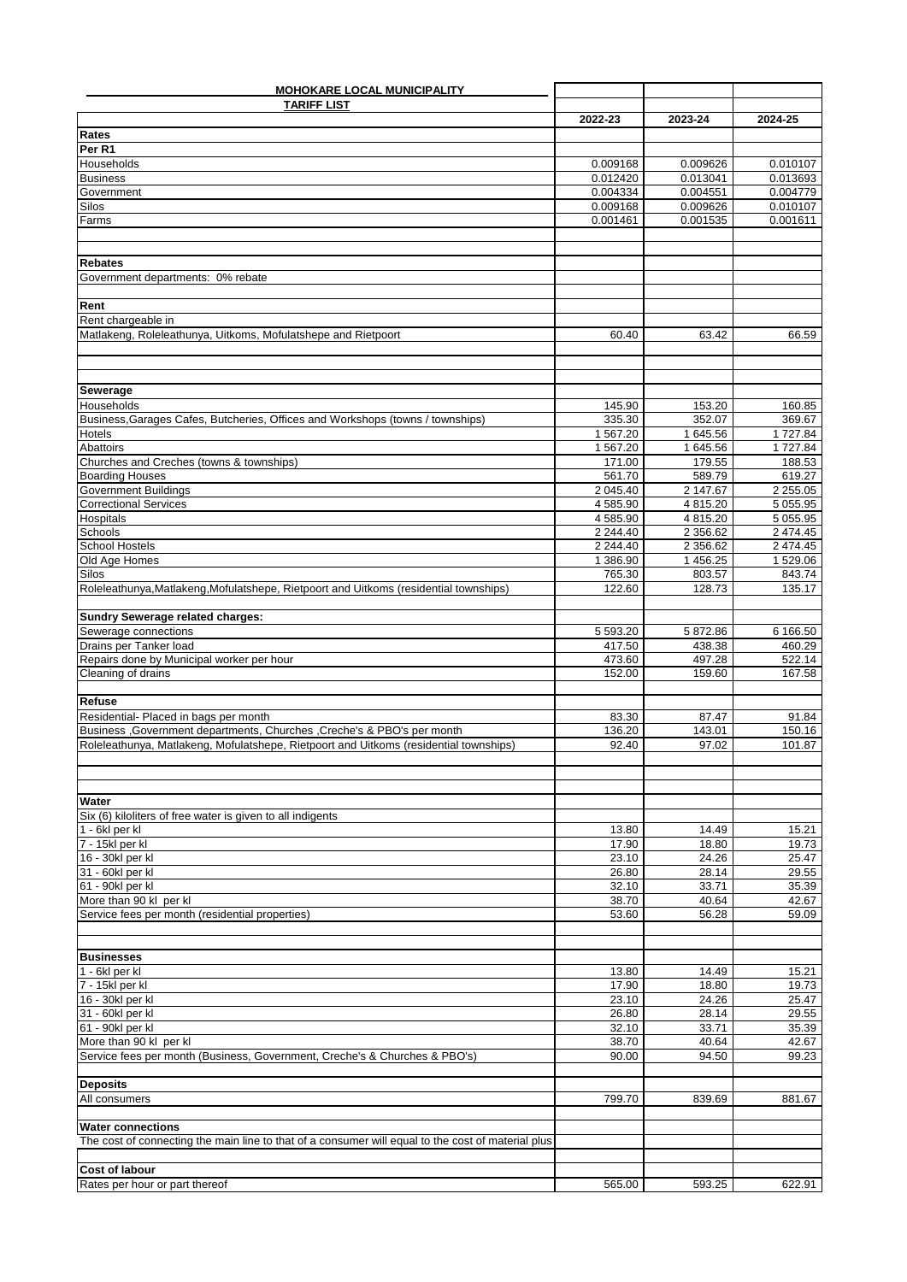| <b>MOHOKARE LOCAL MUNICIPALITY</b>                                                                 |                      |                      |                      |
|----------------------------------------------------------------------------------------------------|----------------------|----------------------|----------------------|
| <b>TARIFF LIST</b>                                                                                 |                      |                      |                      |
|                                                                                                    | 2022-23              | 2023-24              | 2024-25              |
| Rates                                                                                              |                      |                      |                      |
| Per R1                                                                                             |                      |                      |                      |
| Households                                                                                         | 0.009168             | 0.009626             | 0.010107             |
| <b>Business</b>                                                                                    | 0.012420             | 0.013041             | 0.013693             |
| Government                                                                                         | 0.004334             | 0.004551             | 0.004779             |
| Silos                                                                                              | 0.009168             | 0.009626             | 0.010107             |
| Farms                                                                                              | 0.001461             | 0.001535             | 0.001611             |
|                                                                                                    |                      |                      |                      |
|                                                                                                    |                      |                      |                      |
| <b>Rebates</b>                                                                                     |                      |                      |                      |
| Government departments: 0% rebate                                                                  |                      |                      |                      |
|                                                                                                    |                      |                      |                      |
| Rent                                                                                               |                      |                      |                      |
| Rent chargeable in                                                                                 |                      |                      |                      |
| Matlakeng, Roleleathunya, Uitkoms, Mofulatshepe and Rietpoort                                      | 60.40                | 63.42                | 66.59                |
|                                                                                                    |                      |                      |                      |
|                                                                                                    |                      |                      |                      |
|                                                                                                    |                      |                      |                      |
| Sewerage<br><b>Households</b>                                                                      |                      | 153.20               |                      |
| Business, Garages Cafes, Butcheries, Offices and Workshops (towns / townships)                     | 145.90<br>335.30     | 352.07               | 160.85               |
| Hotels                                                                                             |                      |                      | 369.67               |
| Abattoirs                                                                                          | 1 567.20<br>1 567.20 | 1 645.56<br>1 645.56 | 1 727.84<br>1 727.84 |
| Churches and Creches (towns & townships)                                                           | 171.00               | 179.55               | 188.53               |
| <b>Boarding Houses</b>                                                                             | 561.70               | 589.79               | 619.27               |
| <b>Government Buildings</b>                                                                        | 2 045.40             | 2 147.67             | 2 2 5 5 . 0 5        |
| <b>Correctional Services</b>                                                                       | 4 585.90             | 4 815.20             | 5 055.95             |
| Hospitals                                                                                          | 4 585.90             | 4 815.20             | 5 055.95             |
| Schools                                                                                            | 2 2 4 4 4 0          | 2 3 5 6.6 2          | 2 474.45             |
| <b>School Hostels</b>                                                                              | 2 2 4 4 4 0          | 2 356.62             | 2 474.45             |
| Old Age Homes                                                                                      | 1 386.90             | 1 456.25             | 1 529.06             |
| Silos                                                                                              | 765.30               | 803.57               | 843.74               |
| Roleleathunya, Matlakeng, Mofulatshepe, Rietpoort and Uitkoms (residential townships)              | 122.60               | 128.73               | 135.17               |
|                                                                                                    |                      |                      |                      |
| Sundry Sewerage related charges:                                                                   |                      |                      |                      |
| Sewerage connections                                                                               | 5 593.20             | 5 872.86             | 6 166.50             |
| Drains per Tanker load                                                                             | 417.50               | 438.38               | 460.29               |
| Repairs done by Municipal worker per hour                                                          | 473.60               | 497.28               | 522.14               |
| Cleaning of drains                                                                                 | 152.00               | 159.60               | 167.58               |
|                                                                                                    |                      |                      |                      |
| Refuse                                                                                             |                      |                      |                      |
| Residential- Placed in bags per month                                                              | 83.30                | 87.47                | 91.84                |
| Business , Government departments, Churches , Creche's & PBO's per month                           | 136.20               | 143.01               | 150.16               |
| Roleleathunya, Matlakeng, Mofulatshepe, Rietpoort and Uitkoms (residential townships)              | 92.40                | 97.02                | 101.87               |
|                                                                                                    |                      |                      |                      |
|                                                                                                    |                      |                      |                      |
|                                                                                                    |                      |                      |                      |
| Water                                                                                              |                      |                      |                      |
| Six (6) kiloliters of free water is given to all indigents                                         |                      |                      |                      |
| 1 - 6kl per kl                                                                                     | 13.80                | 14.49                | 15.21                |
| 7 - 15kl per kl                                                                                    | 17.90                | 18.80                | 19.73                |
| 16 - 30kl per kl                                                                                   | 23.10                | 24.26                | 25.47                |
| 31 - 60kl per kl                                                                                   | 26.80                | 28.14                | 29.55                |
| 61 - 90kl per kl                                                                                   | 32.10                | 33.71                | 35.39                |
| More than 90 kl per kl                                                                             | 38.70                | 40.64                | 42.67                |
| Service fees per month (residential properties)                                                    | 53.60                | 56.28                | 59.09                |
|                                                                                                    |                      |                      |                      |
|                                                                                                    |                      |                      |                      |
| <b>Businesses</b>                                                                                  |                      |                      |                      |
| $1 - 6$ kl per kl                                                                                  | 13.80                | 14.49                | 15.21                |
| 7 - 15kl per kl                                                                                    | 17.90                | 18.80                | 19.73                |
| 16 - 30kl per kl                                                                                   | 23.10                | 24.26                | 25.47                |
| 31 - 60kl per kl                                                                                   | 26.80                | 28.14                | 29.55                |
| 61 - 90kl per kl                                                                                   | 32.10                | 33.71                | 35.39                |
| More than 90 kl per kl                                                                             | 38.70                | 40.64                | 42.67                |
| Service fees per month (Business, Government, Creche's & Churches & PBO's)                         | 90.00                | 94.50                | 99.23                |
|                                                                                                    |                      |                      |                      |
| <b>Deposits</b>                                                                                    |                      |                      |                      |
| All consumers                                                                                      | 799.70               | 839.69               | 881.67               |
|                                                                                                    |                      |                      |                      |
| <b>Water connections</b>                                                                           |                      |                      |                      |
| The cost of connecting the main line to that of a consumer will equal to the cost of material plus |                      |                      |                      |
|                                                                                                    |                      |                      |                      |
| <b>Cost of labour</b>                                                                              |                      |                      |                      |
| Rates per hour or part thereof                                                                     | 565.00               | 593.25               | 622.91               |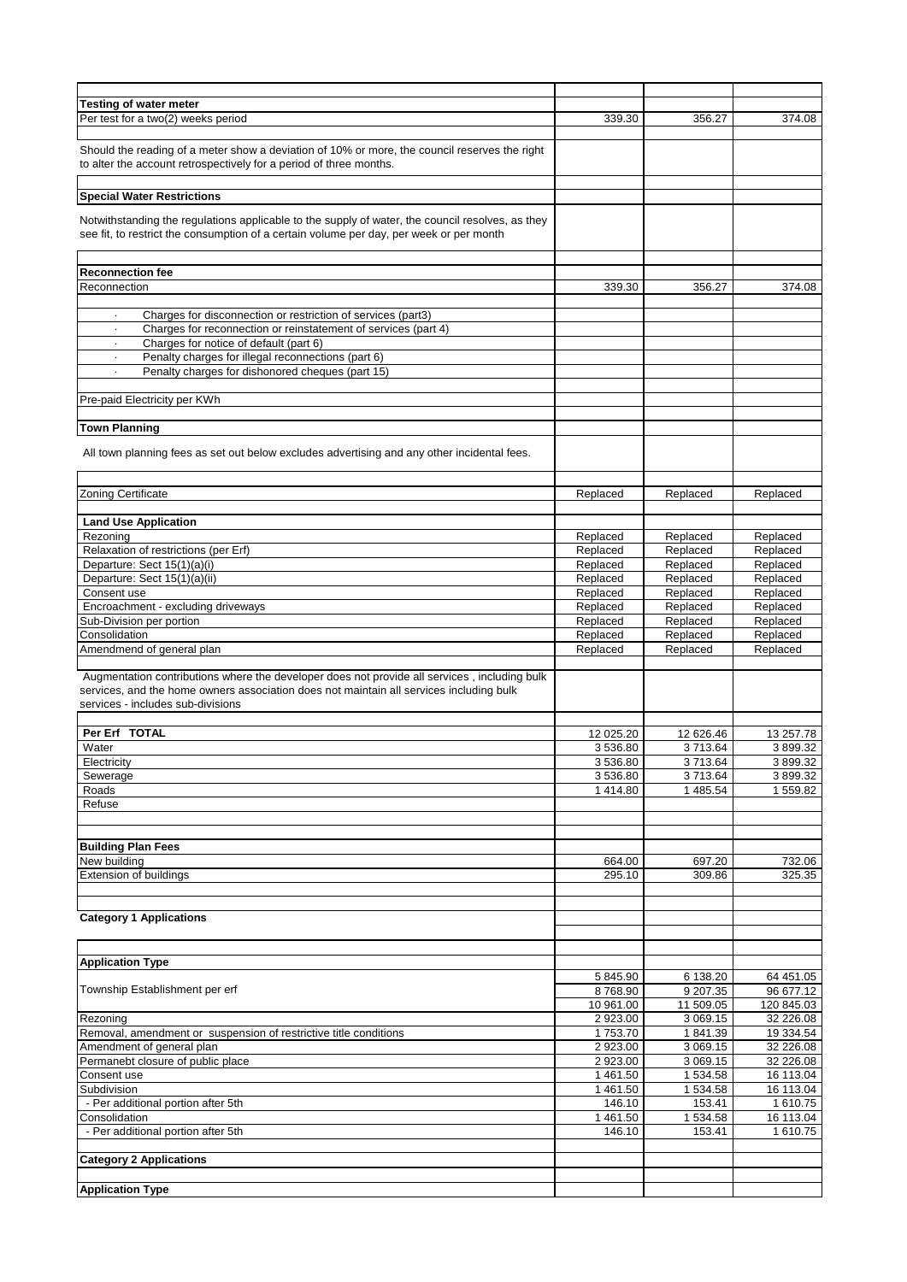| <b>Testing of water meter</b>                                                                                                                                                                                                |           |           |            |
|------------------------------------------------------------------------------------------------------------------------------------------------------------------------------------------------------------------------------|-----------|-----------|------------|
| Per test for a two(2) weeks period                                                                                                                                                                                           | 339.30    | 356.27    | 374.08     |
|                                                                                                                                                                                                                              |           |           |            |
| Should the reading of a meter show a deviation of 10% or more, the council reserves the right<br>to alter the account retrospectively for a period of three months.                                                          |           |           |            |
| <b>Special Water Restrictions</b>                                                                                                                                                                                            |           |           |            |
|                                                                                                                                                                                                                              |           |           |            |
| Notwithstanding the regulations applicable to the supply of water, the council resolves, as they<br>see fit, to restrict the consumption of a certain volume per day, per week or per month                                  |           |           |            |
|                                                                                                                                                                                                                              |           |           |            |
| <b>Reconnection fee</b>                                                                                                                                                                                                      |           |           |            |
| Reconnection                                                                                                                                                                                                                 | 339.30    | 356.27    | 374.08     |
|                                                                                                                                                                                                                              |           |           |            |
| Charges for disconnection or restriction of services (part3)<br>$\cdot$                                                                                                                                                      |           |           |            |
| Charges for reconnection or reinstatement of services (part 4)<br>$\cdot$                                                                                                                                                    |           |           |            |
| Charges for notice of default (part 6)<br>$\cdot$                                                                                                                                                                            |           |           |            |
| Penalty charges for illegal reconnections (part 6)<br>$\blacksquare$                                                                                                                                                         |           |           |            |
|                                                                                                                                                                                                                              |           |           |            |
| Penalty charges for dishonored cheques (part 15)                                                                                                                                                                             |           |           |            |
|                                                                                                                                                                                                                              |           |           |            |
| Pre-paid Electricity per KWh                                                                                                                                                                                                 |           |           |            |
|                                                                                                                                                                                                                              |           |           |            |
| <b>Town Planning</b>                                                                                                                                                                                                         |           |           |            |
| All town planning fees as set out below excludes advertising and any other incidental fees.                                                                                                                                  |           |           |            |
|                                                                                                                                                                                                                              |           |           |            |
| Zoning Certificate                                                                                                                                                                                                           | Replaced  | Replaced  | Replaced   |
|                                                                                                                                                                                                                              |           |           |            |
| <b>Land Use Application</b>                                                                                                                                                                                                  |           |           |            |
| Rezoning                                                                                                                                                                                                                     | Replaced  | Replaced  | Replaced   |
| Relaxation of restrictions (per Erf)                                                                                                                                                                                         | Replaced  | Replaced  | Replaced   |
| Departure: Sect 15(1)(a)(i)                                                                                                                                                                                                  | Replaced  | Replaced  | Replaced   |
| Departure: Sect 15(1)(a)(ii)                                                                                                                                                                                                 | Replaced  | Replaced  | Replaced   |
| Consent use                                                                                                                                                                                                                  | Replaced  | Replaced  | Replaced   |
| Encroachment - excluding driveways                                                                                                                                                                                           | Replaced  | Replaced  | Replaced   |
| Sub-Division per portion                                                                                                                                                                                                     | Replaced  | Replaced  | Replaced   |
| Consolidation                                                                                                                                                                                                                | Replaced  | Replaced  | Replaced   |
| Amendmend of general plan                                                                                                                                                                                                    | Replaced  | Replaced  | Replaced   |
|                                                                                                                                                                                                                              |           |           |            |
| Augmentation contributions where the developer does not provide all services, including bulk<br>services, and the home owners association does not maintain all services including bulk<br>services - includes sub-divisions |           |           |            |
|                                                                                                                                                                                                                              |           |           |            |
| Per Erf TOTAL                                                                                                                                                                                                                | 12 025.20 | 12 626.46 | 13 257.78  |
| Water                                                                                                                                                                                                                        | 3 536.80  | 3713.64   | 3899.32    |
| Electricity                                                                                                                                                                                                                  | 3 536.80  | 3 713.64  | 3899.32    |
| Sewerage                                                                                                                                                                                                                     | 3 536.80  | 3713.64   | 3 899.32   |
| Roads                                                                                                                                                                                                                        | 1 414.80  | 1 485.54  | 1 559.82   |
| Refuse                                                                                                                                                                                                                       |           |           |            |
|                                                                                                                                                                                                                              |           |           |            |
|                                                                                                                                                                                                                              |           |           |            |
| <b>Building Plan Fees</b>                                                                                                                                                                                                    |           |           |            |
| New building                                                                                                                                                                                                                 | 664.00    | 697.20    | 732.06     |
| Extension of buildings                                                                                                                                                                                                       | 295.10    | 309.86    | 325.35     |
|                                                                                                                                                                                                                              |           |           |            |
|                                                                                                                                                                                                                              |           |           |            |
| <b>Category 1 Applications</b>                                                                                                                                                                                               |           |           |            |
|                                                                                                                                                                                                                              |           |           |            |
| <b>Application Type</b>                                                                                                                                                                                                      |           |           |            |
|                                                                                                                                                                                                                              | 5 845.90  | 6 138.20  | 64 451.05  |
| Township Establishment per erf                                                                                                                                                                                               | 8768.90   | 9 207.35  | 96 677.12  |
|                                                                                                                                                                                                                              | 10 961.00 | 11 509.05 | 120 845.03 |
| Rezoning                                                                                                                                                                                                                     | 2 923.00  | 3 069.15  | 32 226.08  |
| Removal, amendment or suspension of restrictive title conditions                                                                                                                                                             | 1753.70   | 1841.39   | 19 334.54  |
|                                                                                                                                                                                                                              | 2 923.00  | 3 069.15  | 32 226.08  |
| Amendment of general plan<br>Permanebt closure of public place                                                                                                                                                               | 2 923.00  |           | 32 226.08  |
|                                                                                                                                                                                                                              |           | 3 069.15  |            |
| Consent use                                                                                                                                                                                                                  | 1461.50   | 1 534.58  | 16 113.04  |
| Subdivision                                                                                                                                                                                                                  | 1 461.50  | 1 534.58  | 16 113.04  |
| - Per additional portion after 5th                                                                                                                                                                                           | 146.10    | 153.41    | 1 610.75   |
| Consolidation                                                                                                                                                                                                                | 1 461.50  | 1 534.58  | 16 113.04  |
| - Per additional portion after 5th                                                                                                                                                                                           | 146.10    | 153.41    | 1 610.75   |
| <b>Category 2 Applications</b>                                                                                                                                                                                               |           |           |            |
|                                                                                                                                                                                                                              |           |           |            |
| <b>Application Type</b>                                                                                                                                                                                                      |           |           |            |
|                                                                                                                                                                                                                              |           |           |            |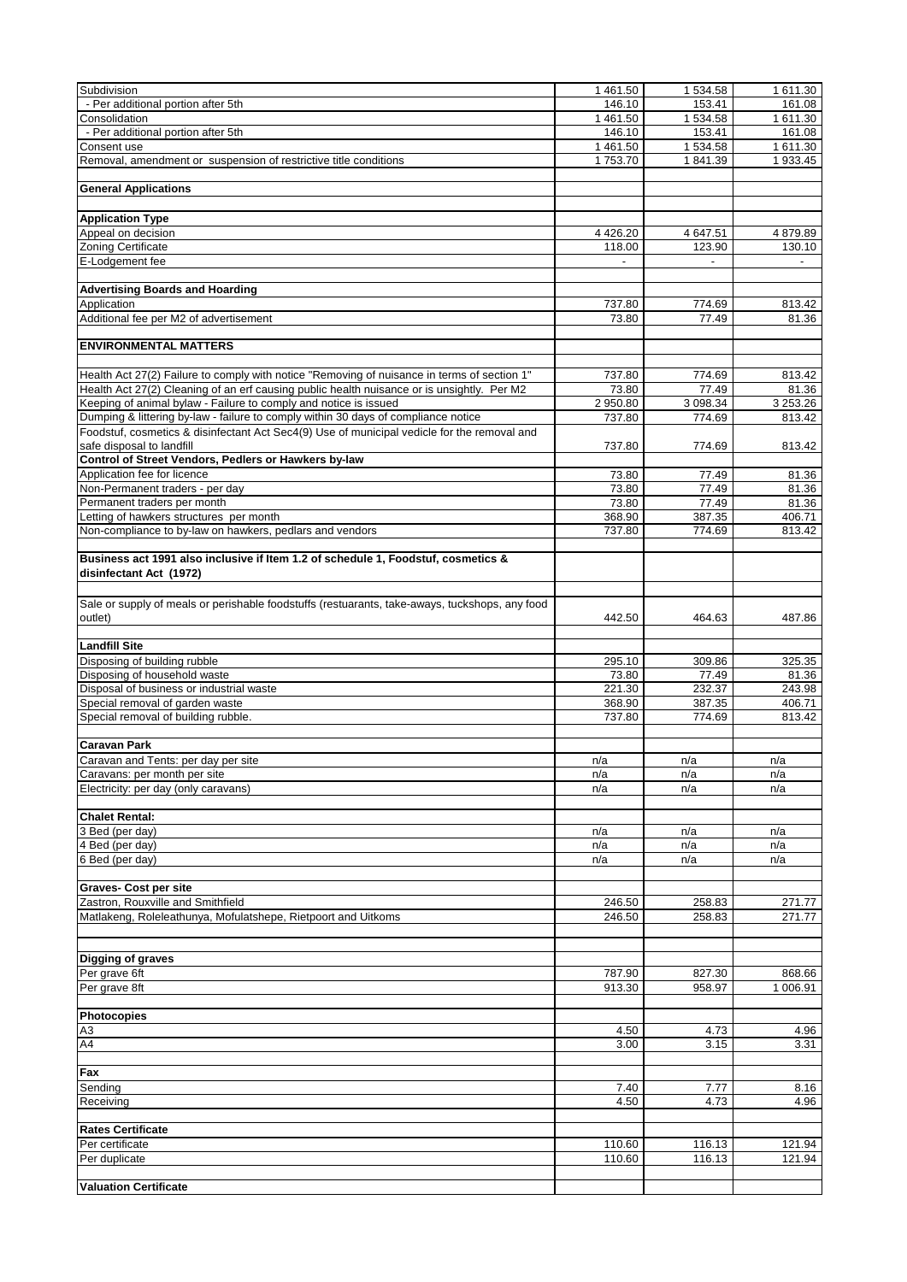| Subdivision                                                                                                  | 1461.50    | 1 534.58 | 1 611.30 |
|--------------------------------------------------------------------------------------------------------------|------------|----------|----------|
| - Per additional portion after 5th                                                                           | 146.10     | 153.41   | 161.08   |
|                                                                                                              |            |          |          |
| Consolidation                                                                                                | 1 461.50   | 1 534.58 | 1 611.30 |
| - Per additional portion after 5th                                                                           | 146.10     | 153.41   | 161.08   |
| Consent use                                                                                                  | 1461.50    | 1 534.58 | 1 611.30 |
| Removal, amendment or suspension of restrictive title conditions                                             | 1753.70    | 1841.39  | 1 933.45 |
|                                                                                                              |            |          |          |
| <b>General Applications</b>                                                                                  |            |          |          |
|                                                                                                              |            |          |          |
|                                                                                                              |            |          |          |
| <b>Application Type</b>                                                                                      |            |          |          |
| Appeal on decision                                                                                           | 4 4 2 6.20 | 4 647.51 | 4 879.89 |
| Zoning Certificate                                                                                           | 118.00     | 123.90   | 130.10   |
| E-Lodgement fee                                                                                              |            |          |          |
|                                                                                                              |            |          |          |
|                                                                                                              |            |          |          |
| <b>Advertising Boards and Hoarding</b>                                                                       |            |          |          |
| Application                                                                                                  | 737.80     | 774.69   | 813.42   |
| Additional fee per M2 of advertisement                                                                       | 73.80      | 77.49    | 81.36    |
|                                                                                                              |            |          |          |
| <b>ENVIRONMENTAL MATTERS</b>                                                                                 |            |          |          |
|                                                                                                              |            |          |          |
|                                                                                                              |            |          |          |
| Health Act 27(2) Failure to comply with notice "Removing of nuisance in terms of section 1"                  | 737.80     | 774.69   | 813.42   |
| Health Act 27(2) Cleaning of an erf causing public health nuisance or is unsightly. Per M2                   | 73.80      | 77.49    | 81.36    |
| Keeping of animal bylaw - Failure to comply and notice is issued                                             | 2 950.80   | 3 098.34 | 3 253.26 |
| Dumping & littering by-law - failure to comply within 30 days of compliance notice                           | 737.80     | 774.69   | 813.42   |
|                                                                                                              |            |          |          |
| Foodstuf, cosmetics & disinfectant Act Sec4(9) Use of municipal vedicle for the removal and                  |            |          |          |
| safe disposal to landfill                                                                                    | 737.80     | 774.69   | 813.42   |
| Control of Street Vendors, Pedlers or Hawkers by-law                                                         |            |          |          |
| Application fee for licence                                                                                  | 73.80      | 77.49    | 81.36    |
| Non-Permanent traders - per day                                                                              | 73.80      | 77.49    | 81.36    |
| Permanent traders per month                                                                                  |            |          |          |
|                                                                                                              | 73.80      | 77.49    | 81.36    |
| Letting of hawkers structures per month                                                                      | 368.90     | 387.35   | 406.71   |
| Non-compliance to by-law on hawkers, pedlars and vendors                                                     | 737.80     | 774.69   | 813.42   |
|                                                                                                              |            |          |          |
| Business act 1991 also inclusive if Item 1.2 of schedule 1, Foodstuf, cosmetics &<br>disinfectant Act (1972) |            |          |          |
|                                                                                                              |            |          |          |
| Sale or supply of meals or perishable foodstuffs (restuarants, take-aways, tuckshops, any food               |            |          |          |
| outlet)                                                                                                      | 442.50     | 464.63   | 487.86   |
|                                                                                                              |            |          |          |
| <b>Landfill Site</b>                                                                                         |            |          |          |
|                                                                                                              |            |          |          |
| Disposing of building rubble                                                                                 | 295.10     | 309.86   | 325.35   |
| Disposing of household waste                                                                                 | 73.80      | 77.49    | 81.36    |
| Disposal of business or industrial waste                                                                     | 221.30     | 232.37   | 243.98   |
| Special removal of garden waste                                                                              | 368.90     | 387.35   | 406.71   |
| Special removal of building rubble.                                                                          | 737.80     | 774.69   | 813.42   |
|                                                                                                              |            |          |          |
|                                                                                                              |            |          |          |
| <b>Caravan Park</b>                                                                                          |            |          |          |
| Caravan and Tents: per day per site                                                                          | n/a        | n/a      | n/a      |
| Caravans: per month per site                                                                                 | n/a        | n/a      | n/a      |
|                                                                                                              |            |          |          |
| Electricity: per day (only caravans)                                                                         | n/a        | n/a      | n/a      |
|                                                                                                              |            |          |          |
| <b>Chalet Rental:</b>                                                                                        |            |          |          |
| 3 Bed (per day)                                                                                              | n/a        | n/a      | n/a      |
| 4 Bed (per day)                                                                                              | n/a        | n/a      | n/a      |
| 6 Bed (per day)                                                                                              |            |          |          |
|                                                                                                              | n/a        | n/a      | n/a      |
|                                                                                                              |            |          |          |
| <b>Graves- Cost per site</b>                                                                                 |            |          |          |
| Zastron, Rouxville and Smithfield                                                                            | 246.50     | 258.83   | 271.77   |
| Matlakeng, Roleleathunya, Mofulatshepe, Rietpoort and Uitkoms                                                | 246.50     | 258.83   | 271.77   |
|                                                                                                              |            |          |          |
|                                                                                                              |            |          |          |
|                                                                                                              |            |          |          |
| <b>Digging of graves</b>                                                                                     |            |          |          |
| Per grave 6ft                                                                                                | 787.90     | 827.30   | 868.66   |
| Per grave 8ft                                                                                                | 913.30     | 958.97   | 1 006.91 |
|                                                                                                              |            |          |          |
|                                                                                                              |            |          |          |
| Photocopies                                                                                                  |            |          |          |
| A3                                                                                                           | 4.50       | 4.73     | 4.96     |
| AA                                                                                                           | 3.00       | 3.15     | 3.31     |
|                                                                                                              |            |          |          |
|                                                                                                              |            |          |          |
| Fax                                                                                                          |            |          |          |
| Sending                                                                                                      | 7.40       | 7.77     | 8.16     |
| Receiving                                                                                                    | 4.50       | 4.73     | 4.96     |
|                                                                                                              |            |          |          |
| <b>Rates Certificate</b>                                                                                     |            |          |          |
|                                                                                                              |            |          |          |
| Per certificate                                                                                              |            |          |          |
|                                                                                                              | 110.60     | 116.13   | 121.94   |
| Per duplicate                                                                                                | 110.60     | 116.13   | 121.94   |
|                                                                                                              |            |          |          |
| <b>Valuation Certificate</b>                                                                                 |            |          |          |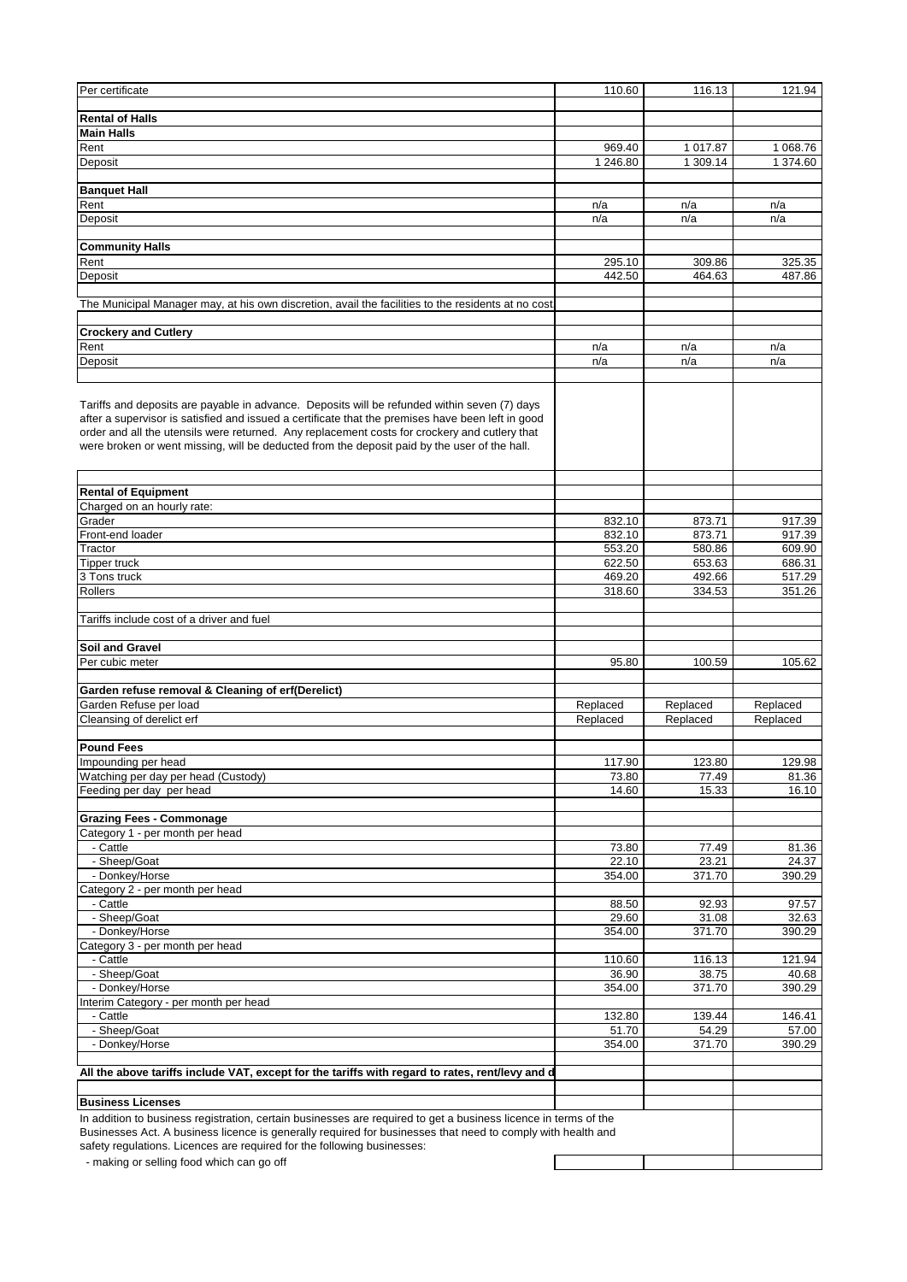| Per certificate                                                                                                                                                                                                                                                                                                                                                                                    | 110.60           | 116.13           | 121.94           |
|----------------------------------------------------------------------------------------------------------------------------------------------------------------------------------------------------------------------------------------------------------------------------------------------------------------------------------------------------------------------------------------------------|------------------|------------------|------------------|
|                                                                                                                                                                                                                                                                                                                                                                                                    |                  |                  |                  |
| <b>Rental of Halls</b>                                                                                                                                                                                                                                                                                                                                                                             |                  |                  |                  |
| <b>Main Halls</b>                                                                                                                                                                                                                                                                                                                                                                                  |                  |                  |                  |
| Rent                                                                                                                                                                                                                                                                                                                                                                                               | 969.40           | 1 017.87         | 1 068.76         |
| Deposit                                                                                                                                                                                                                                                                                                                                                                                            | 1 246.80         | 1 309.14         | 1 374.60         |
| <b>Banquet Hall</b>                                                                                                                                                                                                                                                                                                                                                                                |                  |                  |                  |
| Rent                                                                                                                                                                                                                                                                                                                                                                                               | n/a              | n/a              | n/a              |
| Deposit                                                                                                                                                                                                                                                                                                                                                                                            | n/a              | n/a              | n/a              |
|                                                                                                                                                                                                                                                                                                                                                                                                    |                  |                  |                  |
| <b>Community Halls</b>                                                                                                                                                                                                                                                                                                                                                                             |                  |                  |                  |
| Rent                                                                                                                                                                                                                                                                                                                                                                                               | 295.10<br>442.50 | 309.86<br>464.63 | 325.35<br>487.86 |
| Deposit                                                                                                                                                                                                                                                                                                                                                                                            |                  |                  |                  |
| The Municipal Manager may, at his own discretion, avail the facilities to the residents at no cost                                                                                                                                                                                                                                                                                                 |                  |                  |                  |
| <b>Crockery and Cutlery</b>                                                                                                                                                                                                                                                                                                                                                                        |                  |                  |                  |
| Rent                                                                                                                                                                                                                                                                                                                                                                                               | n/a              | n/a              | n/a              |
| Deposit                                                                                                                                                                                                                                                                                                                                                                                            | n/a              | n/a              | n/a              |
|                                                                                                                                                                                                                                                                                                                                                                                                    |                  |                  |                  |
| Tariffs and deposits are payable in advance. Deposits will be refunded within seven (7) days<br>after a supervisor is satisfied and issued a certificate that the premises have been left in good<br>order and all the utensils were returned. Any replacement costs for crockery and cutlery that<br>were broken or went missing, will be deducted from the deposit paid by the user of the hall. |                  |                  |                  |
| <b>Rental of Equipment</b>                                                                                                                                                                                                                                                                                                                                                                         |                  |                  |                  |
| Charged on an hourly rate:                                                                                                                                                                                                                                                                                                                                                                         |                  |                  |                  |
| Grader                                                                                                                                                                                                                                                                                                                                                                                             | 832.10           | 873.71           | 917.39           |
| Front-end loader                                                                                                                                                                                                                                                                                                                                                                                   | 832.10           | 873.71           | 917.39           |
| Tractor                                                                                                                                                                                                                                                                                                                                                                                            | 553.20           | 580.86           | 609.90           |
| <b>Tipper truck</b>                                                                                                                                                                                                                                                                                                                                                                                | 622.50           | 653.63           | 686.31           |
| 3 Tons truck                                                                                                                                                                                                                                                                                                                                                                                       | 469.20           | 492.66           | 517.29           |
| Rollers                                                                                                                                                                                                                                                                                                                                                                                            | 318.60           | 334.53           | 351.26           |
| Tariffs include cost of a driver and fuel                                                                                                                                                                                                                                                                                                                                                          |                  |                  |                  |
| Soil and Gravel                                                                                                                                                                                                                                                                                                                                                                                    |                  |                  |                  |
| Per cubic meter                                                                                                                                                                                                                                                                                                                                                                                    | 95.80            | 100.59           | 105.62           |
|                                                                                                                                                                                                                                                                                                                                                                                                    |                  |                  |                  |
| Garden refuse removal & Cleaning of erf(Derelict)                                                                                                                                                                                                                                                                                                                                                  |                  |                  |                  |
| Garden Refuse per load                                                                                                                                                                                                                                                                                                                                                                             | Replaced         | Replaced         | Replaced         |
| Cleansing of derelict erf                                                                                                                                                                                                                                                                                                                                                                          | Replaced         | Replaced         | Replaced         |
|                                                                                                                                                                                                                                                                                                                                                                                                    |                  |                  |                  |
| <b>Pound Fees</b>                                                                                                                                                                                                                                                                                                                                                                                  |                  |                  |                  |
| Impounding per head<br>Watching per day per head (Custody)                                                                                                                                                                                                                                                                                                                                         | 117.90<br>73.80  | 123.80<br>77.49  | 129.98<br>81.36  |
| Feeding per day per head                                                                                                                                                                                                                                                                                                                                                                           | 14.60            | 15.33            | 16.10            |
|                                                                                                                                                                                                                                                                                                                                                                                                    |                  |                  |                  |
| <b>Grazing Fees - Commonage</b>                                                                                                                                                                                                                                                                                                                                                                    |                  |                  |                  |
| Category 1 - per month per head                                                                                                                                                                                                                                                                                                                                                                    |                  |                  |                  |
| - Cattle                                                                                                                                                                                                                                                                                                                                                                                           | 73.80            | 77.49            | 81.36            |
| - Sheep/Goat<br>- Donkey/Horse                                                                                                                                                                                                                                                                                                                                                                     | 22.10<br>354.00  | 23.21            | 24.37            |
| Category 2 - per month per head                                                                                                                                                                                                                                                                                                                                                                    |                  | 371.70           | 390.29           |
| - Cattle                                                                                                                                                                                                                                                                                                                                                                                           | 88.50            | 92.93            | 97.57            |
| - Sheep/Goat                                                                                                                                                                                                                                                                                                                                                                                       | 29.60            | 31.08            | 32.63            |
| - Donkey/Horse                                                                                                                                                                                                                                                                                                                                                                                     | 354.00           | 371.70           | 390.29           |
| Category 3 - per month per head                                                                                                                                                                                                                                                                                                                                                                    |                  |                  |                  |
| - Cattle                                                                                                                                                                                                                                                                                                                                                                                           | 110.60           | 116.13           | 121.94           |
| - Sheep/Goat<br>- Donkey/Horse                                                                                                                                                                                                                                                                                                                                                                     | 36.90            | 38.75<br>371.70  | 40.68<br>390.29  |
| Interim Category - per month per head                                                                                                                                                                                                                                                                                                                                                              | 354.00           |                  |                  |
| - Cattle                                                                                                                                                                                                                                                                                                                                                                                           | 132.80           | 139.44           | 146.41           |
| - Sheep/Goat                                                                                                                                                                                                                                                                                                                                                                                       | 51.70            | 54.29            | 57.00            |
| - Donkey/Horse                                                                                                                                                                                                                                                                                                                                                                                     | 354.00           | 371.70           | 390.29           |
|                                                                                                                                                                                                                                                                                                                                                                                                    |                  |                  |                  |
| All the above tariffs include VAT, except for the tariffs with regard to rates, rent/levy and d                                                                                                                                                                                                                                                                                                    |                  |                  |                  |
| <b>Business Licenses</b>                                                                                                                                                                                                                                                                                                                                                                           |                  |                  |                  |
| In addition to business registration, certain businesses are required to get a business licence in terms of the                                                                                                                                                                                                                                                                                    |                  |                  |                  |
| Businesses Act. A business licence is generally required for businesses that need to comply with health and                                                                                                                                                                                                                                                                                        |                  |                  |                  |
| safety regulations. Licences are required for the following businesses:                                                                                                                                                                                                                                                                                                                            |                  |                  |                  |
| - making or selling food which can go off                                                                                                                                                                                                                                                                                                                                                          |                  |                  |                  |